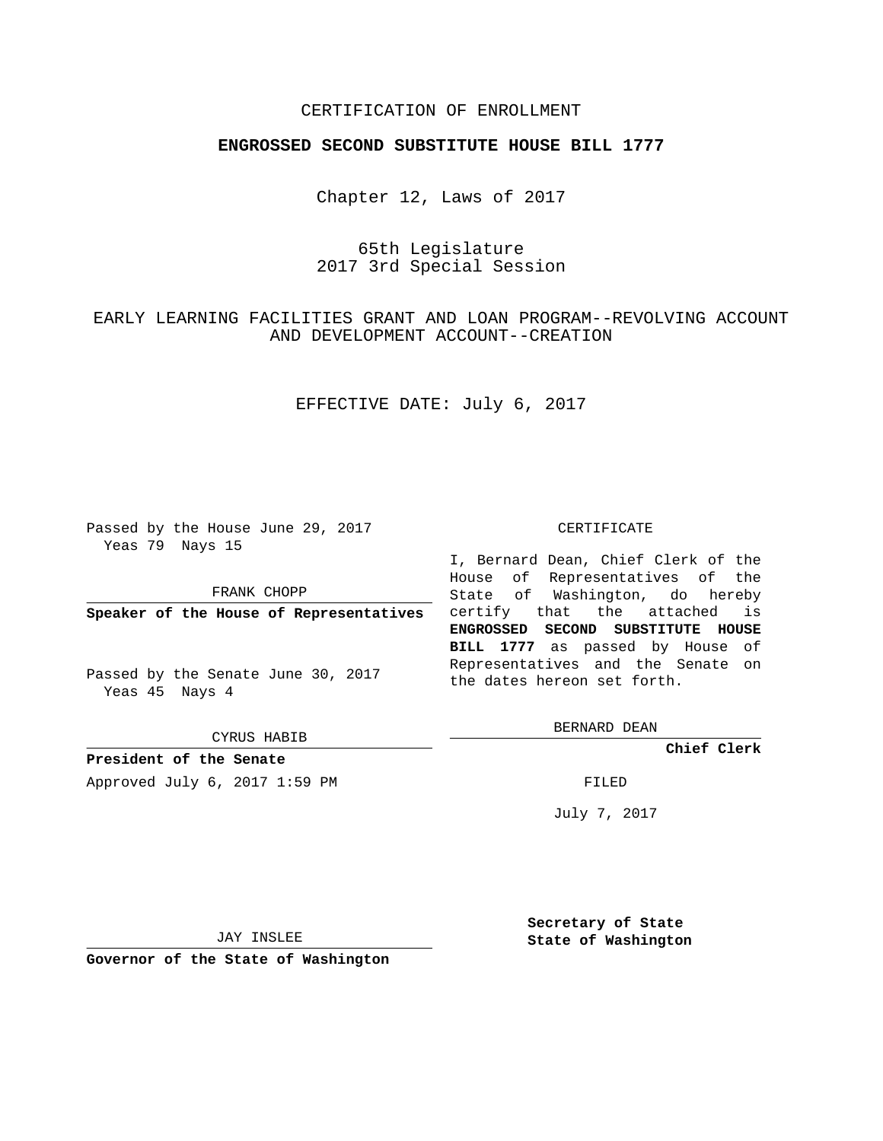## CERTIFICATION OF ENROLLMENT

### **ENGROSSED SECOND SUBSTITUTE HOUSE BILL 1777**

Chapter 12, Laws of 2017

65th Legislature 2017 3rd Special Session

EARLY LEARNING FACILITIES GRANT AND LOAN PROGRAM--REVOLVING ACCOUNT AND DEVELOPMENT ACCOUNT--CREATION

## EFFECTIVE DATE: July 6, 2017

Passed by the House June 29, 2017 Yeas 79 Nays 15

FRANK CHOPP

Passed by the Senate June 30, 2017 Yeas 45 Nays 4

CYRUS HABIB

**President of the Senate**

Approved July 6, 2017 1:59 PM FILED

#### CERTIFICATE

**Speaker of the House of Representatives** certify that the attached is I, Bernard Dean, Chief Clerk of the House of Representatives of the State of Washington, do hereby **ENGROSSED SECOND SUBSTITUTE HOUSE BILL 1777** as passed by House of Representatives and the Senate on the dates hereon set forth.

BERNARD DEAN

**Chief Clerk**

July 7, 2017

JAY INSLEE

**Governor of the State of Washington**

**Secretary of State State of Washington**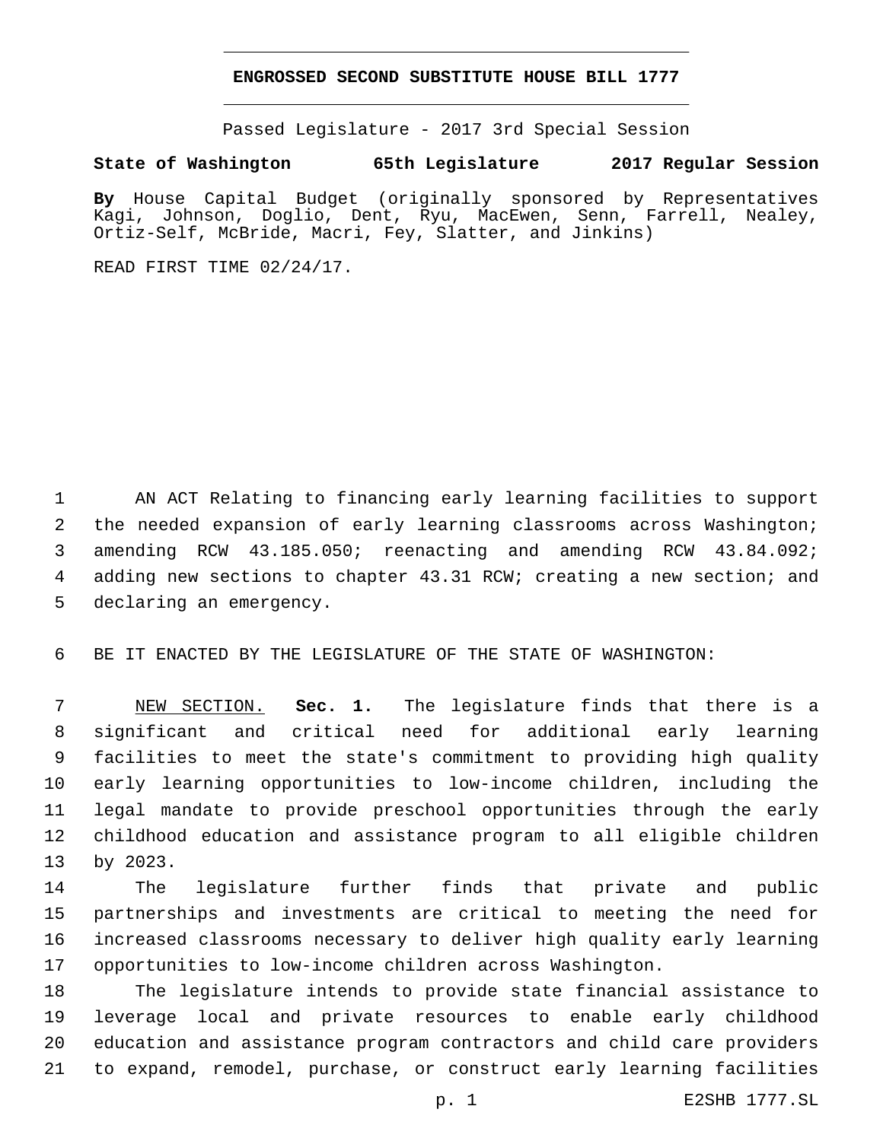### **ENGROSSED SECOND SUBSTITUTE HOUSE BILL 1777**

Passed Legislature - 2017 3rd Special Session

# **State of Washington 65th Legislature 2017 Regular Session**

**By** House Capital Budget (originally sponsored by Representatives Kagi, Johnson, Doglio, Dent, Ryu, MacEwen, Senn, Farrell, Nealey, Ortiz-Self, McBride, Macri, Fey, Slatter, and Jinkins)

READ FIRST TIME 02/24/17.

 AN ACT Relating to financing early learning facilities to support the needed expansion of early learning classrooms across Washington; amending RCW 43.185.050; reenacting and amending RCW 43.84.092; adding new sections to chapter 43.31 RCW; creating a new section; and 5 declaring an emergency.

BE IT ENACTED BY THE LEGISLATURE OF THE STATE OF WASHINGTON:

 NEW SECTION. **Sec. 1.** The legislature finds that there is a significant and critical need for additional early learning facilities to meet the state's commitment to providing high quality early learning opportunities to low-income children, including the legal mandate to provide preschool opportunities through the early childhood education and assistance program to all eligible children by 2023.

 The legislature further finds that private and public partnerships and investments are critical to meeting the need for increased classrooms necessary to deliver high quality early learning opportunities to low-income children across Washington.

 The legislature intends to provide state financial assistance to leverage local and private resources to enable early childhood education and assistance program contractors and child care providers to expand, remodel, purchase, or construct early learning facilities

p. 1 E2SHB 1777.SL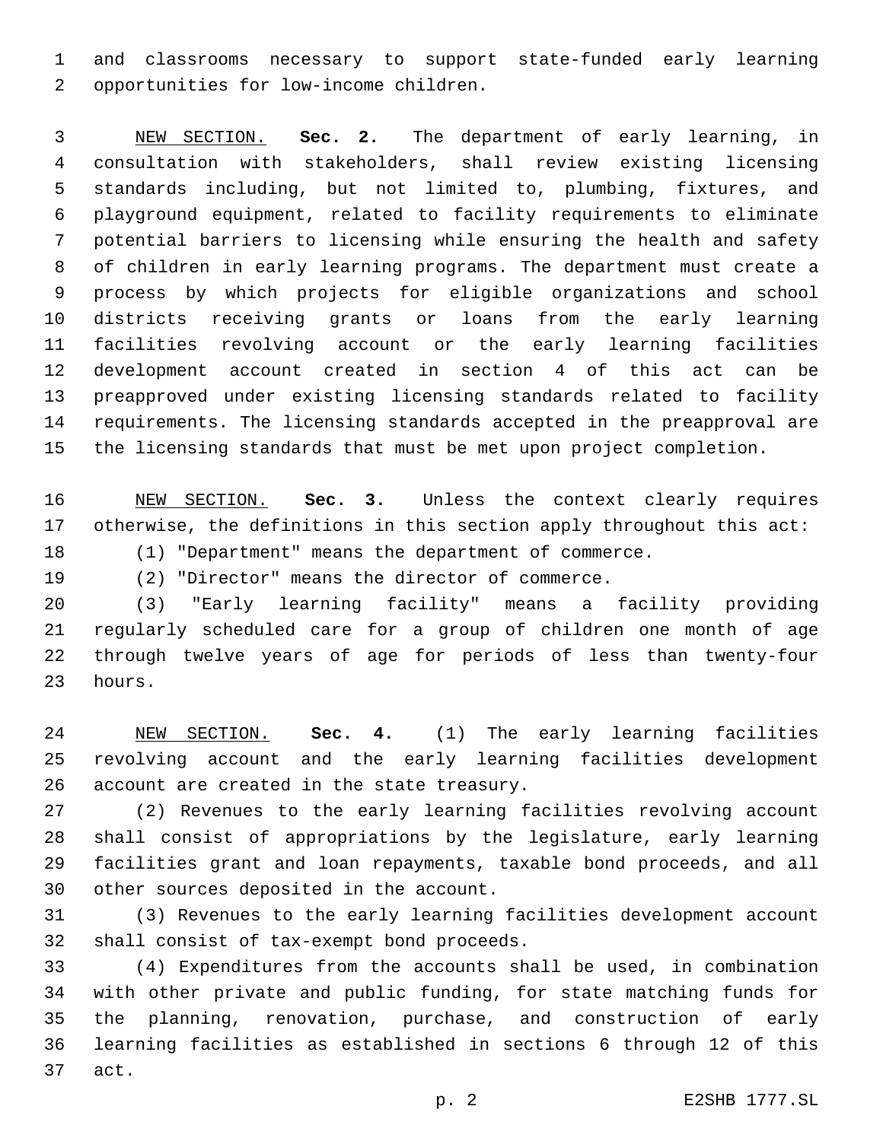and classrooms necessary to support state-funded early learning 2 opportunities for low-income children.

 NEW SECTION. **Sec. 2.** The department of early learning, in consultation with stakeholders, shall review existing licensing standards including, but not limited to, plumbing, fixtures, and playground equipment, related to facility requirements to eliminate potential barriers to licensing while ensuring the health and safety of children in early learning programs. The department must create a process by which projects for eligible organizations and school districts receiving grants or loans from the early learning facilities revolving account or the early learning facilities development account created in section 4 of this act can be preapproved under existing licensing standards related to facility requirements. The licensing standards accepted in the preapproval are the licensing standards that must be met upon project completion.

 NEW SECTION. **Sec. 3.** Unless the context clearly requires otherwise, the definitions in this section apply throughout this act:

(1) "Department" means the department of commerce.

(2) "Director" means the director of commerce.

 (3) "Early learning facility" means a facility providing regularly scheduled care for a group of children one month of age through twelve years of age for periods of less than twenty-four 23 hours.

 NEW SECTION. **Sec. 4.** (1) The early learning facilities revolving account and the early learning facilities development 26 account are created in the state treasury.

 (2) Revenues to the early learning facilities revolving account shall consist of appropriations by the legislature, early learning facilities grant and loan repayments, taxable bond proceeds, and all 30 other sources deposited in the account.

 (3) Revenues to the early learning facilities development account 32 shall consist of tax-exempt bond proceeds.

 (4) Expenditures from the accounts shall be used, in combination with other private and public funding, for state matching funds for the planning, renovation, purchase, and construction of early learning facilities as established in sections 6 through 12 of this 37 act.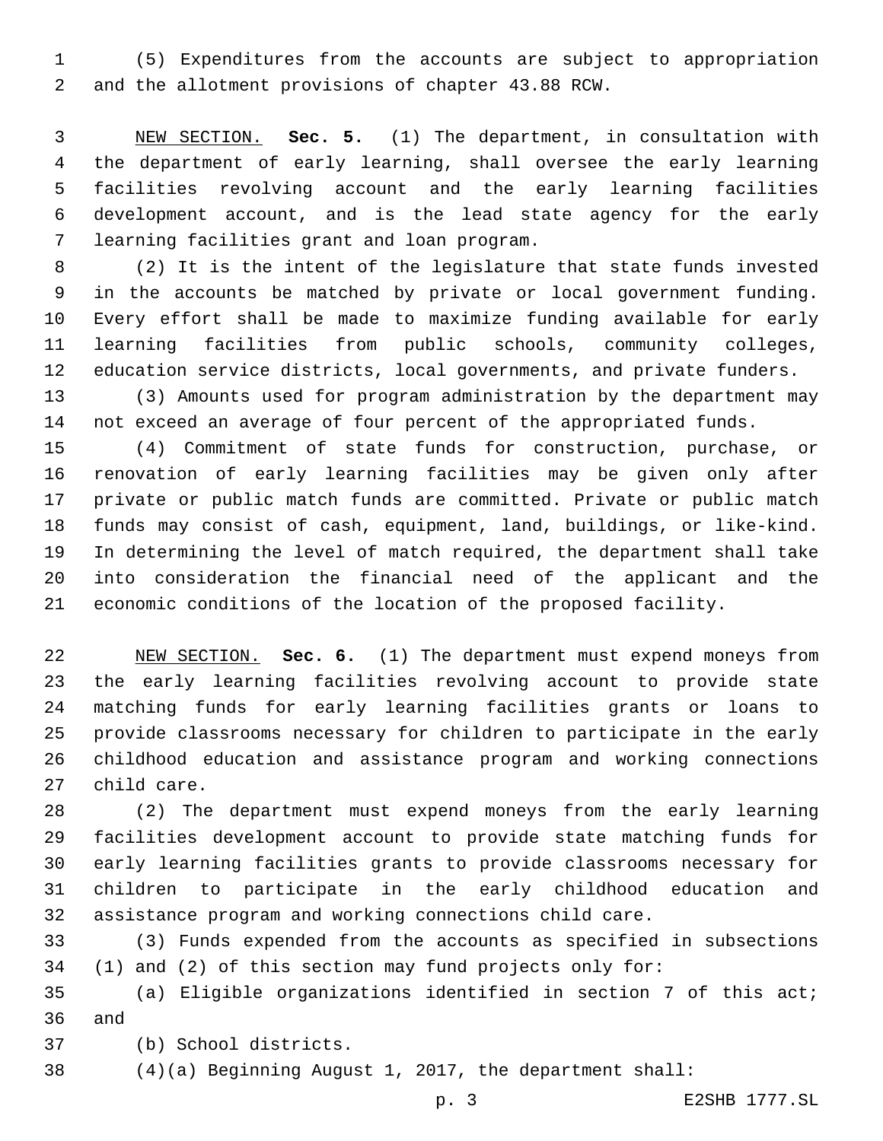(5) Expenditures from the accounts are subject to appropriation 2 and the allotment provisions of chapter 43.88 RCW.

 NEW SECTION. **Sec. 5.** (1) The department, in consultation with the department of early learning, shall oversee the early learning facilities revolving account and the early learning facilities development account, and is the lead state agency for the early learning facilities grant and loan program.

 (2) It is the intent of the legislature that state funds invested in the accounts be matched by private or local government funding. Every effort shall be made to maximize funding available for early learning facilities from public schools, community colleges, education service districts, local governments, and private funders.

 (3) Amounts used for program administration by the department may not exceed an average of four percent of the appropriated funds.

 (4) Commitment of state funds for construction, purchase, or renovation of early learning facilities may be given only after private or public match funds are committed. Private or public match funds may consist of cash, equipment, land, buildings, or like-kind. In determining the level of match required, the department shall take into consideration the financial need of the applicant and the economic conditions of the location of the proposed facility.

 NEW SECTION. **Sec. 6.** (1) The department must expend moneys from the early learning facilities revolving account to provide state matching funds for early learning facilities grants or loans to provide classrooms necessary for children to participate in the early childhood education and assistance program and working connections child care.

 (2) The department must expend moneys from the early learning facilities development account to provide state matching funds for early learning facilities grants to provide classrooms necessary for children to participate in the early childhood education and assistance program and working connections child care.

 (3) Funds expended from the accounts as specified in subsections (1) and (2) of this section may fund projects only for:

 (a) Eligible organizations identified in section 7 of this act; 36 and

(b) School districts.37

(4)(a) Beginning August 1, 2017, the department shall:

p. 3 E2SHB 1777.SL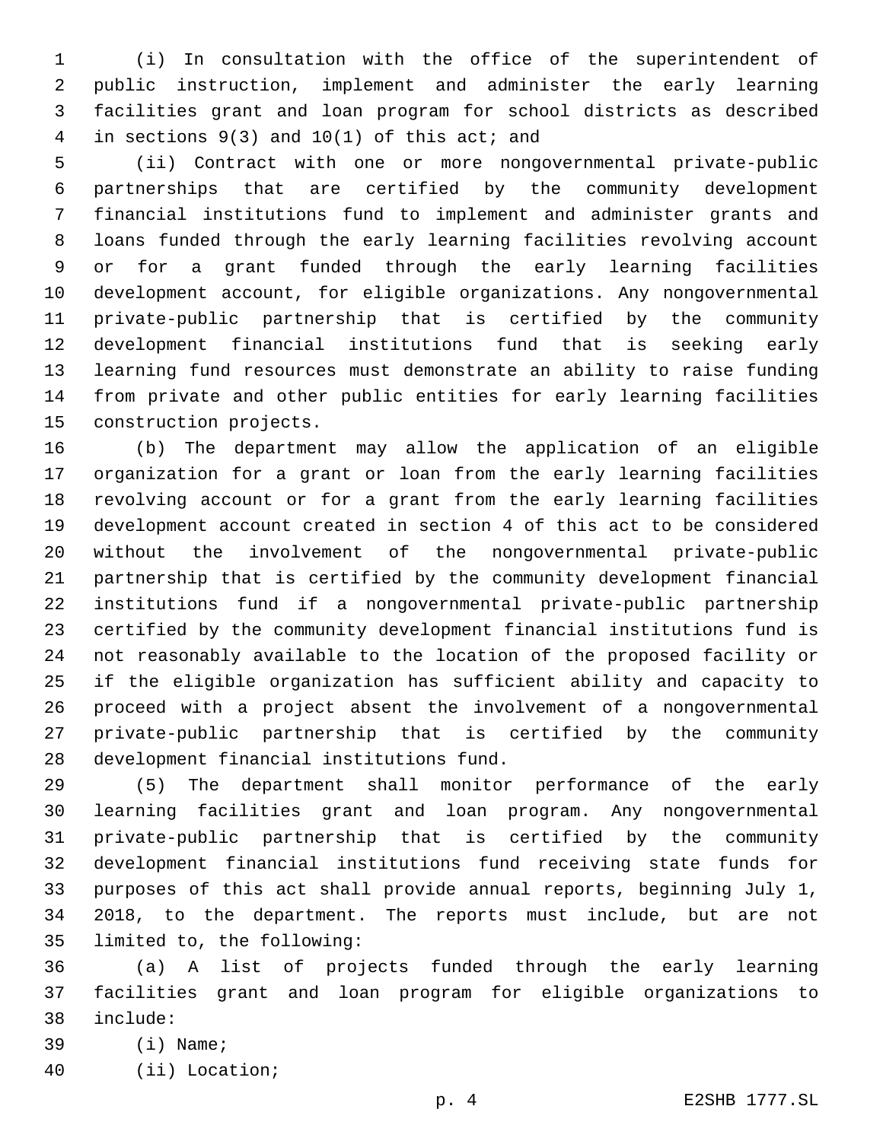(i) In consultation with the office of the superintendent of public instruction, implement and administer the early learning facilities grant and loan program for school districts as described 4 in sections  $9(3)$  and  $10(1)$  of this act; and

 (ii) Contract with one or more nongovernmental private-public partnerships that are certified by the community development financial institutions fund to implement and administer grants and loans funded through the early learning facilities revolving account or for a grant funded through the early learning facilities development account, for eligible organizations. Any nongovernmental private-public partnership that is certified by the community development financial institutions fund that is seeking early learning fund resources must demonstrate an ability to raise funding from private and other public entities for early learning facilities 15 construction projects.

 (b) The department may allow the application of an eligible organization for a grant or loan from the early learning facilities revolving account or for a grant from the early learning facilities development account created in section 4 of this act to be considered without the involvement of the nongovernmental private-public partnership that is certified by the community development financial institutions fund if a nongovernmental private-public partnership certified by the community development financial institutions fund is not reasonably available to the location of the proposed facility or if the eligible organization has sufficient ability and capacity to proceed with a project absent the involvement of a nongovernmental private-public partnership that is certified by the community 28 development financial institutions fund.

 (5) The department shall monitor performance of the early learning facilities grant and loan program. Any nongovernmental private-public partnership that is certified by the community development financial institutions fund receiving state funds for purposes of this act shall provide annual reports, beginning July 1, 2018, to the department. The reports must include, but are not 35 limited to, the following:

 (a) A list of projects funded through the early learning facilities grant and loan program for eligible organizations to include:38

- 39 (i) Name;
- (ii) Location;40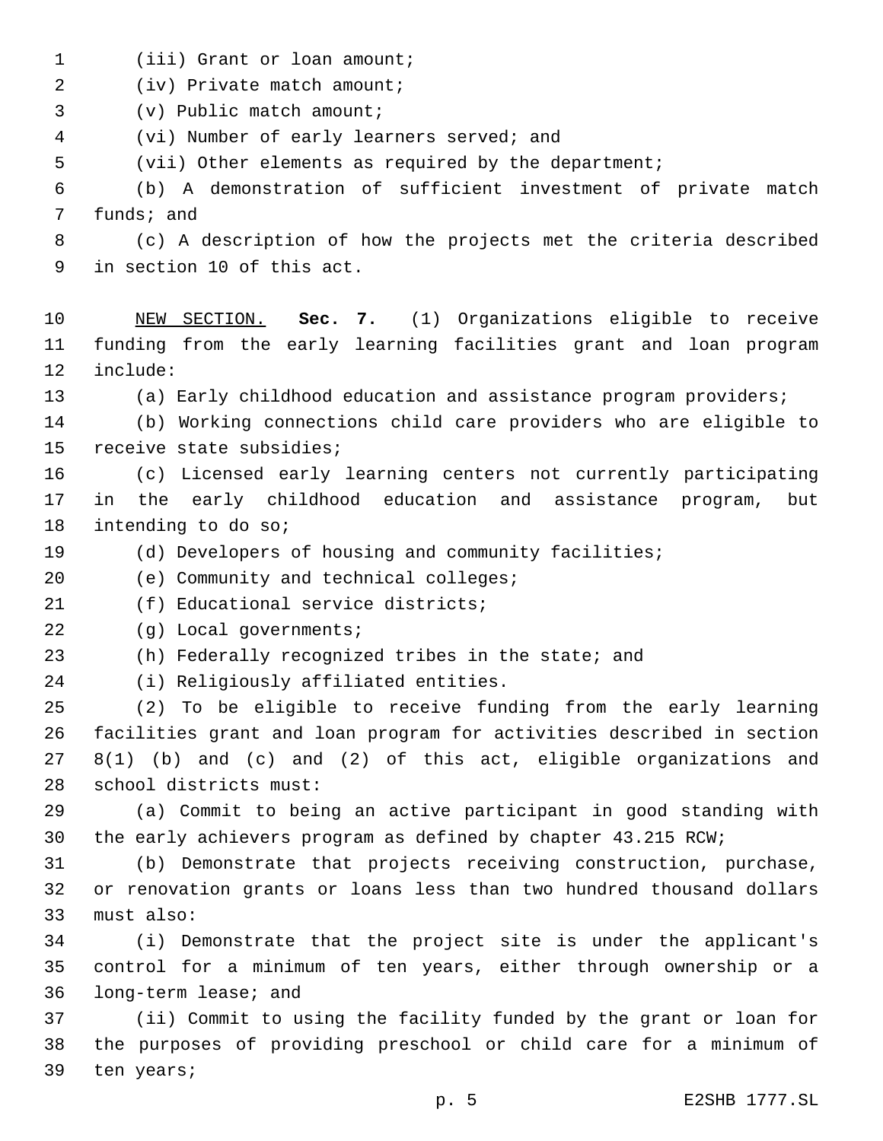- 1 (iii) Grant or loan amount;
- 2 (iv) Private match amount;
- 3 (v) Public match amount;
- (vi) Number of early learners served; and4
- 5 (vii) Other elements as required by the department;

6 (b) A demonstration of sufficient investment of private match 7 funds; and

8 (c) A description of how the projects met the criteria described 9 in section 10 of this act.

- 10 NEW SECTION. **Sec. 7.** (1) Organizations eligible to receive 11 funding from the early learning facilities grant and loan program 12 include:
- 13 (a) Early childhood education and assistance program providers;
- 14 (b) Working connections child care providers who are eligible to 15 receive state subsidies;
- 16 (c) Licensed early learning centers not currently participating 17 in the early childhood education and assistance program, but 18 intending to do so;
- 19 (d) Developers of housing and community facilities;
- 20 (e) Community and technical colleges;
- 21 (f) Educational service districts;
- 22 (g) Local governments;
- 23 (h) Federally recognized tribes in the state; and
- 24 (i) Religiously affiliated entities.

 (2) To be eligible to receive funding from the early learning facilities grant and loan program for activities described in section 8(1) (b) and (c) and (2) of this act, eligible organizations and 28 school districts must:

29 (a) Commit to being an active participant in good standing with 30 the early achievers program as defined by chapter 43.215 RCW;

31 (b) Demonstrate that projects receiving construction, purchase, 32 or renovation grants or loans less than two hundred thousand dollars 33 must also:

34 (i) Demonstrate that the project site is under the applicant's 35 control for a minimum of ten years, either through ownership or a 36 long-term lease; and

37 (ii) Commit to using the facility funded by the grant or loan for 38 the purposes of providing preschool or child care for a minimum of 39 ten years;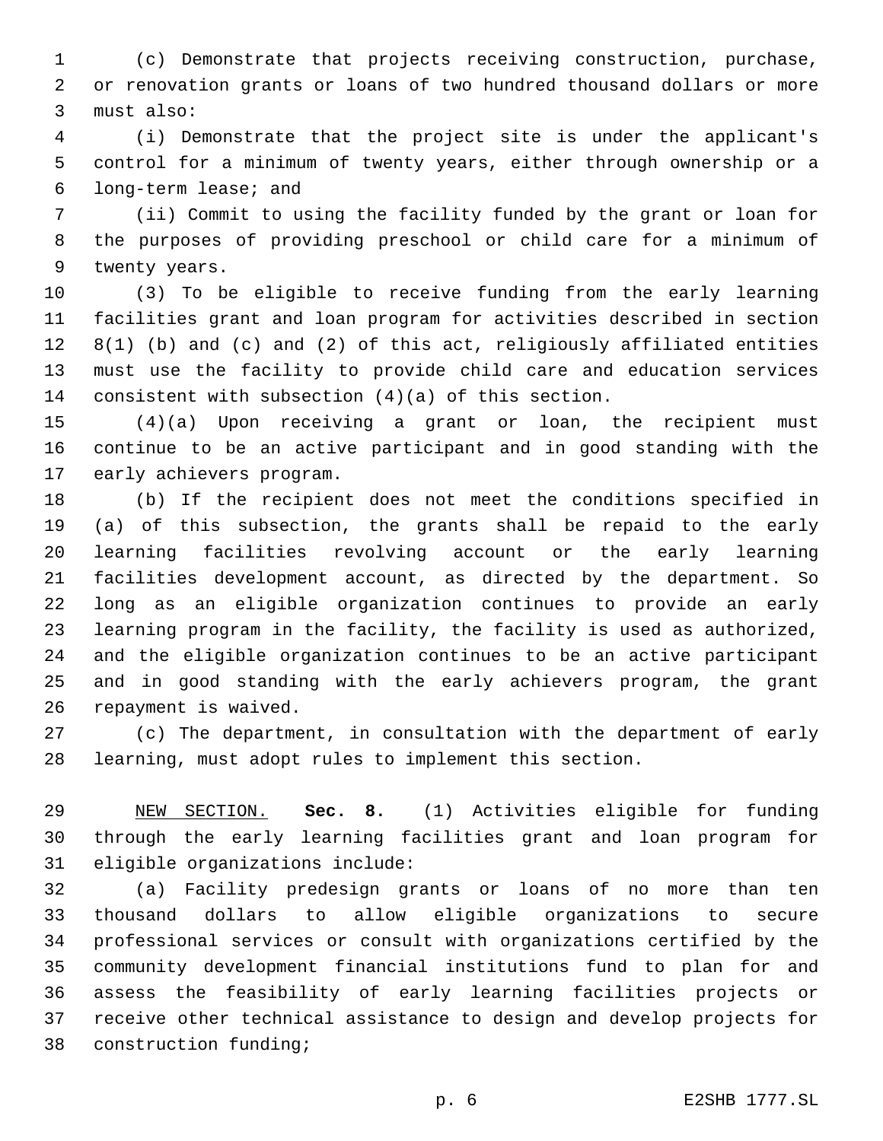(c) Demonstrate that projects receiving construction, purchase, or renovation grants or loans of two hundred thousand dollars or more 3 must also:

 (i) Demonstrate that the project site is under the applicant's control for a minimum of twenty years, either through ownership or a 6 long-term lease; and

 (ii) Commit to using the facility funded by the grant or loan for the purposes of providing preschool or child care for a minimum of 9 twenty years.

 (3) To be eligible to receive funding from the early learning facilities grant and loan program for activities described in section 8(1) (b) and (c) and (2) of this act, religiously affiliated entities must use the facility to provide child care and education services consistent with subsection (4)(a) of this section.

 (4)(a) Upon receiving a grant or loan, the recipient must continue to be an active participant and in good standing with the 17 early achievers program.

 (b) If the recipient does not meet the conditions specified in (a) of this subsection, the grants shall be repaid to the early learning facilities revolving account or the early learning facilities development account, as directed by the department. So long as an eligible organization continues to provide an early learning program in the facility, the facility is used as authorized, and the eligible organization continues to be an active participant and in good standing with the early achievers program, the grant 26 repayment is waived.

 (c) The department, in consultation with the department of early learning, must adopt rules to implement this section.

 NEW SECTION. **Sec. 8.** (1) Activities eligible for funding through the early learning facilities grant and loan program for eligible organizations include:

 (a) Facility predesign grants or loans of no more than ten thousand dollars to allow eligible organizations to secure professional services or consult with organizations certified by the community development financial institutions fund to plan for and assess the feasibility of early learning facilities projects or receive other technical assistance to design and develop projects for 38 construction funding;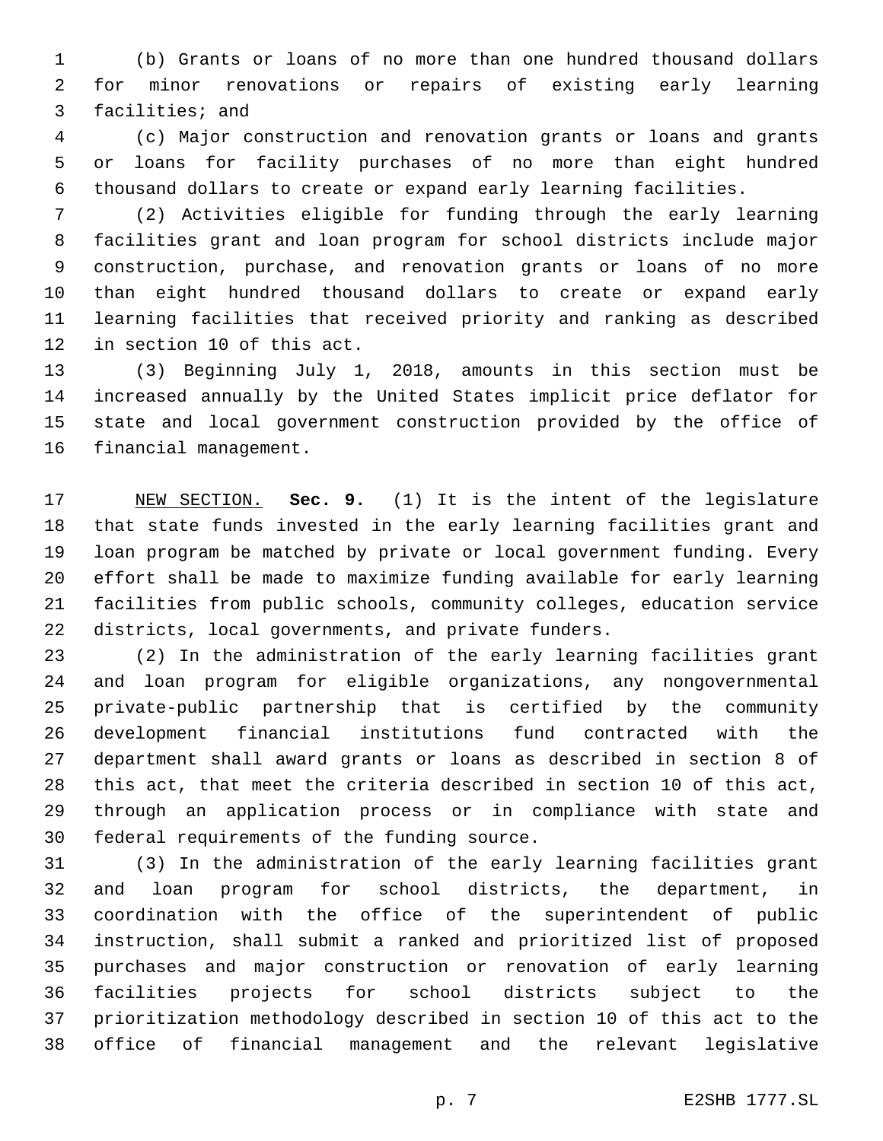(b) Grants or loans of no more than one hundred thousand dollars for minor renovations or repairs of existing early learning 3 facilities; and

 (c) Major construction and renovation grants or loans and grants or loans for facility purchases of no more than eight hundred thousand dollars to create or expand early learning facilities.

 (2) Activities eligible for funding through the early learning facilities grant and loan program for school districts include major construction, purchase, and renovation grants or loans of no more than eight hundred thousand dollars to create or expand early learning facilities that received priority and ranking as described 12 in section 10 of this act.

 (3) Beginning July 1, 2018, amounts in this section must be increased annually by the United States implicit price deflator for state and local government construction provided by the office of 16 financial management.

 NEW SECTION. **Sec. 9.** (1) It is the intent of the legislature that state funds invested in the early learning facilities grant and loan program be matched by private or local government funding. Every effort shall be made to maximize funding available for early learning facilities from public schools, community colleges, education service districts, local governments, and private funders.

 (2) In the administration of the early learning facilities grant and loan program for eligible organizations, any nongovernmental private-public partnership that is certified by the community development financial institutions fund contracted with the department shall award grants or loans as described in section 8 of this act, that meet the criteria described in section 10 of this act, through an application process or in compliance with state and 30 federal requirements of the funding source.

 (3) In the administration of the early learning facilities grant and loan program for school districts, the department, in coordination with the office of the superintendent of public instruction, shall submit a ranked and prioritized list of proposed purchases and major construction or renovation of early learning facilities projects for school districts subject to the prioritization methodology described in section 10 of this act to the office of financial management and the relevant legislative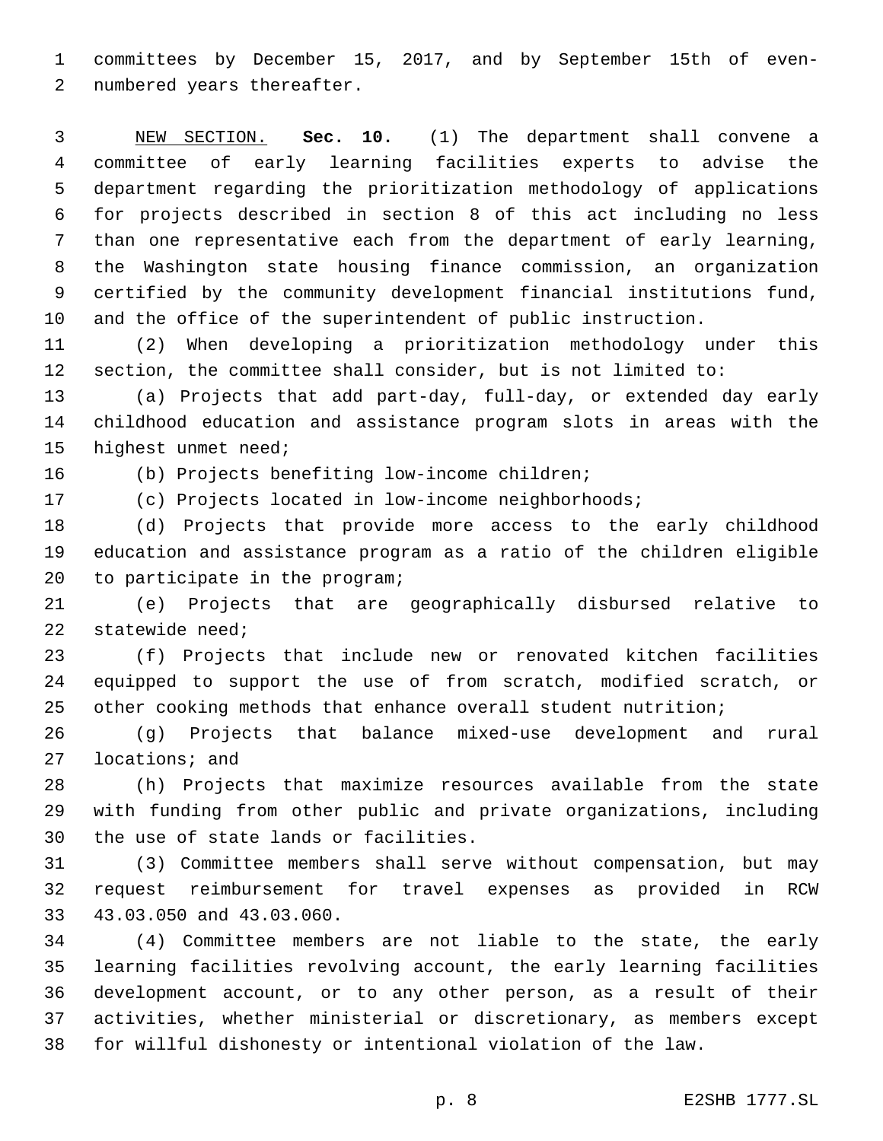committees by December 15, 2017, and by September 15th of even-2 numbered years thereafter.

 NEW SECTION. **Sec. 10.** (1) The department shall convene a committee of early learning facilities experts to advise the department regarding the prioritization methodology of applications for projects described in section 8 of this act including no less than one representative each from the department of early learning, the Washington state housing finance commission, an organization certified by the community development financial institutions fund, and the office of the superintendent of public instruction.

 (2) When developing a prioritization methodology under this section, the committee shall consider, but is not limited to:

 (a) Projects that add part-day, full-day, or extended day early childhood education and assistance program slots in areas with the 15 highest unmet need;

16 (b) Projects benefiting low-income children;

(c) Projects located in low-income neighborhoods;

 (d) Projects that provide more access to the early childhood education and assistance program as a ratio of the children eligible 20 to participate in the program;

 (e) Projects that are geographically disbursed relative to 22 statewide need;

 (f) Projects that include new or renovated kitchen facilities equipped to support the use of from scratch, modified scratch, or other cooking methods that enhance overall student nutrition;

 (g) Projects that balance mixed-use development and rural 27 locations; and

 (h) Projects that maximize resources available from the state with funding from other public and private organizations, including 30 the use of state lands or facilities.

 (3) Committee members shall serve without compensation, but may request reimbursement for travel expenses as provided in RCW 33 43.03.050 and 43.03.060.

 (4) Committee members are not liable to the state, the early learning facilities revolving account, the early learning facilities development account, or to any other person, as a result of their activities, whether ministerial or discretionary, as members except for willful dishonesty or intentional violation of the law.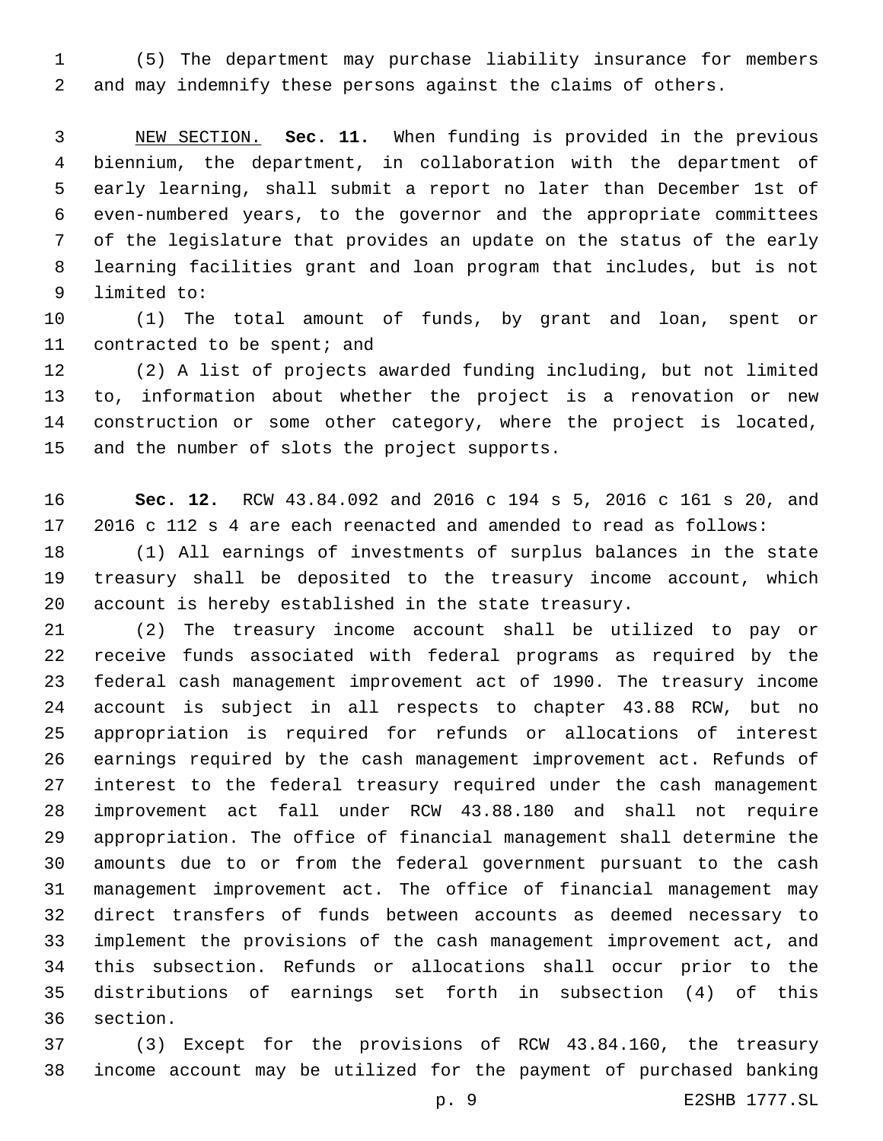(5) The department may purchase liability insurance for members and may indemnify these persons against the claims of others.

 NEW SECTION. **Sec. 11.** When funding is provided in the previous biennium, the department, in collaboration with the department of early learning, shall submit a report no later than December 1st of even-numbered years, to the governor and the appropriate committees of the legislature that provides an update on the status of the early learning facilities grant and loan program that includes, but is not limited to:

 (1) The total amount of funds, by grant and loan, spent or 11 contracted to be spent; and

 (2) A list of projects awarded funding including, but not limited to, information about whether the project is a renovation or new construction or some other category, where the project is located, 15 and the number of slots the project supports.

 **Sec. 12.** RCW 43.84.092 and 2016 c 194 s 5, 2016 c 161 s 20, and 2016 c 112 s 4 are each reenacted and amended to read as follows:

 (1) All earnings of investments of surplus balances in the state treasury shall be deposited to the treasury income account, which account is hereby established in the state treasury.

 (2) The treasury income account shall be utilized to pay or receive funds associated with federal programs as required by the federal cash management improvement act of 1990. The treasury income account is subject in all respects to chapter 43.88 RCW, but no appropriation is required for refunds or allocations of interest earnings required by the cash management improvement act. Refunds of interest to the federal treasury required under the cash management improvement act fall under RCW 43.88.180 and shall not require appropriation. The office of financial management shall determine the amounts due to or from the federal government pursuant to the cash management improvement act. The office of financial management may direct transfers of funds between accounts as deemed necessary to implement the provisions of the cash management improvement act, and this subsection. Refunds or allocations shall occur prior to the distributions of earnings set forth in subsection (4) of this 36 section.

 (3) Except for the provisions of RCW 43.84.160, the treasury income account may be utilized for the payment of purchased banking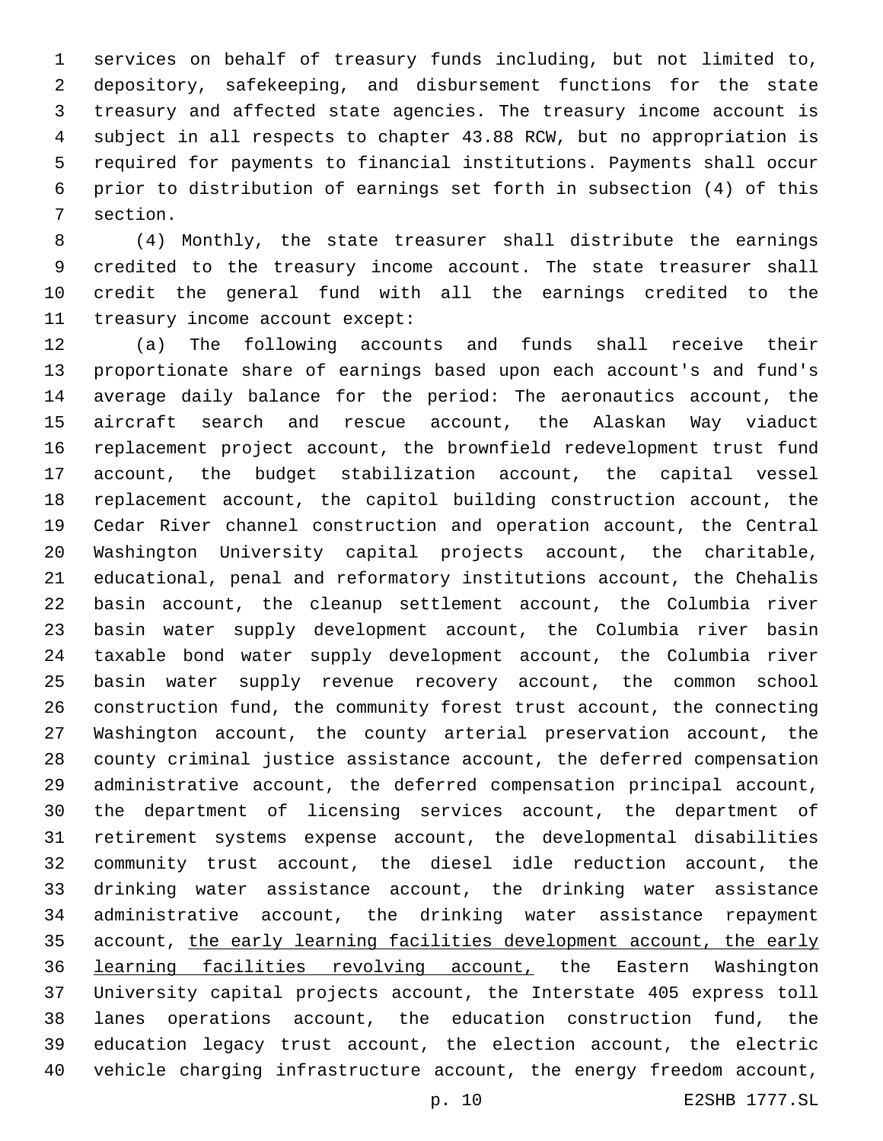services on behalf of treasury funds including, but not limited to, depository, safekeeping, and disbursement functions for the state treasury and affected state agencies. The treasury income account is subject in all respects to chapter 43.88 RCW, but no appropriation is required for payments to financial institutions. Payments shall occur prior to distribution of earnings set forth in subsection (4) of this 7 section.

 (4) Monthly, the state treasurer shall distribute the earnings 9 credited to the treasury income account. The state treasurer shall credit the general fund with all the earnings credited to the 11 treasury income account except:

 (a) The following accounts and funds shall receive their proportionate share of earnings based upon each account's and fund's average daily balance for the period: The aeronautics account, the aircraft search and rescue account, the Alaskan Way viaduct replacement project account, the brownfield redevelopment trust fund account, the budget stabilization account, the capital vessel replacement account, the capitol building construction account, the Cedar River channel construction and operation account, the Central Washington University capital projects account, the charitable, educational, penal and reformatory institutions account, the Chehalis basin account, the cleanup settlement account, the Columbia river basin water supply development account, the Columbia river basin taxable bond water supply development account, the Columbia river basin water supply revenue recovery account, the common school construction fund, the community forest trust account, the connecting Washington account, the county arterial preservation account, the county criminal justice assistance account, the deferred compensation administrative account, the deferred compensation principal account, the department of licensing services account, the department of retirement systems expense account, the developmental disabilities community trust account, the diesel idle reduction account, the drinking water assistance account, the drinking water assistance administrative account, the drinking water assistance repayment account, the early learning facilities development account, the early learning facilities revolving account, the Eastern Washington University capital projects account, the Interstate 405 express toll lanes operations account, the education construction fund, the education legacy trust account, the election account, the electric vehicle charging infrastructure account, the energy freedom account,

p. 10 E2SHB 1777.SL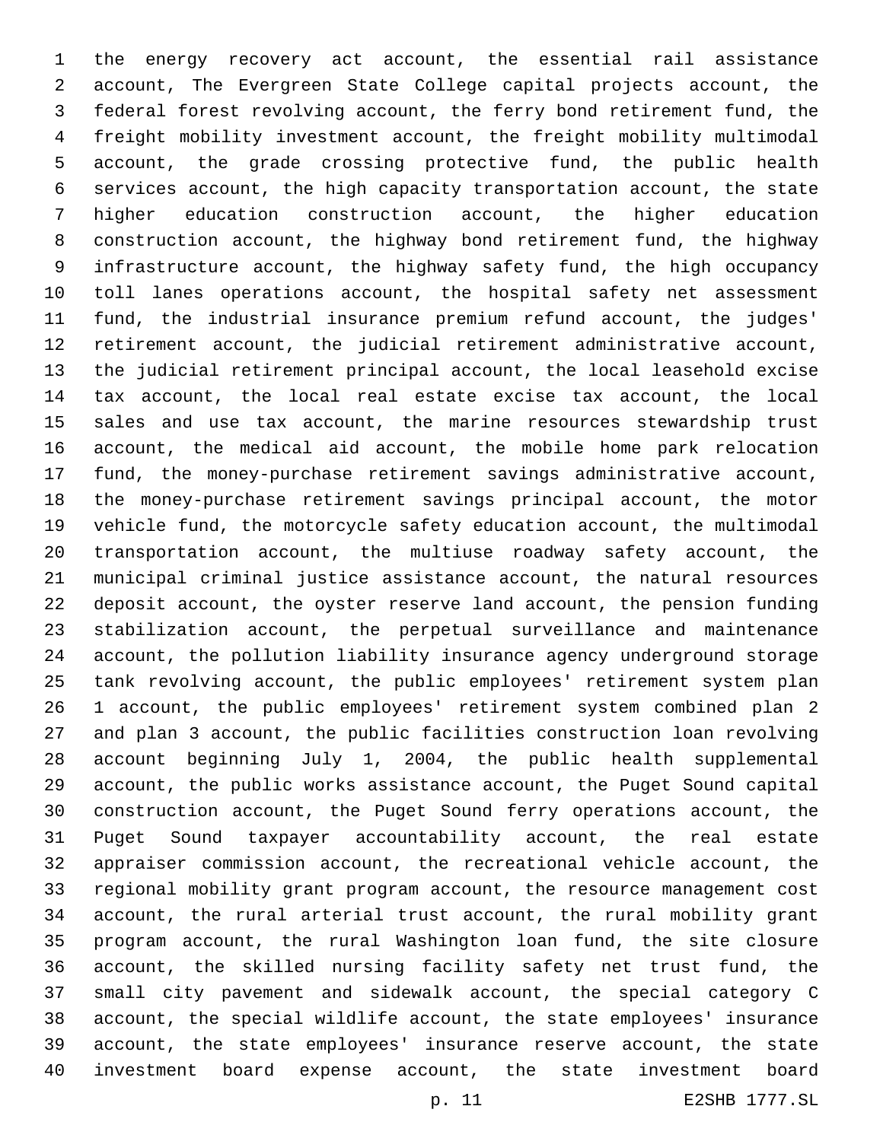the energy recovery act account, the essential rail assistance account, The Evergreen State College capital projects account, the federal forest revolving account, the ferry bond retirement fund, the freight mobility investment account, the freight mobility multimodal account, the grade crossing protective fund, the public health services account, the high capacity transportation account, the state higher education construction account, the higher education construction account, the highway bond retirement fund, the highway infrastructure account, the highway safety fund, the high occupancy toll lanes operations account, the hospital safety net assessment fund, the industrial insurance premium refund account, the judges' retirement account, the judicial retirement administrative account, the judicial retirement principal account, the local leasehold excise tax account, the local real estate excise tax account, the local sales and use tax account, the marine resources stewardship trust account, the medical aid account, the mobile home park relocation fund, the money-purchase retirement savings administrative account, the money-purchase retirement savings principal account, the motor vehicle fund, the motorcycle safety education account, the multimodal transportation account, the multiuse roadway safety account, the municipal criminal justice assistance account, the natural resources deposit account, the oyster reserve land account, the pension funding stabilization account, the perpetual surveillance and maintenance account, the pollution liability insurance agency underground storage tank revolving account, the public employees' retirement system plan 1 account, the public employees' retirement system combined plan 2 and plan 3 account, the public facilities construction loan revolving account beginning July 1, 2004, the public health supplemental account, the public works assistance account, the Puget Sound capital construction account, the Puget Sound ferry operations account, the Puget Sound taxpayer accountability account, the real estate appraiser commission account, the recreational vehicle account, the regional mobility grant program account, the resource management cost account, the rural arterial trust account, the rural mobility grant program account, the rural Washington loan fund, the site closure account, the skilled nursing facility safety net trust fund, the small city pavement and sidewalk account, the special category C account, the special wildlife account, the state employees' insurance account, the state employees' insurance reserve account, the state investment board expense account, the state investment board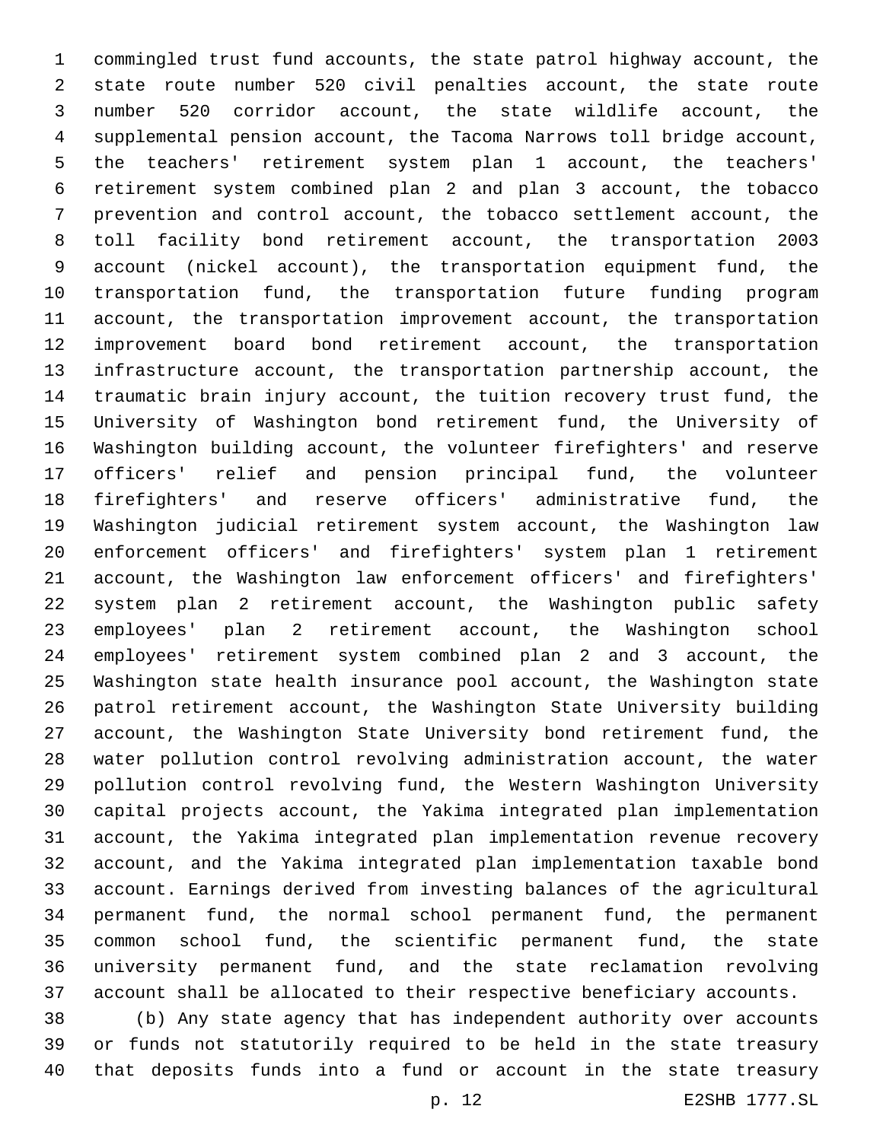commingled trust fund accounts, the state patrol highway account, the state route number 520 civil penalties account, the state route number 520 corridor account, the state wildlife account, the supplemental pension account, the Tacoma Narrows toll bridge account, the teachers' retirement system plan 1 account, the teachers' retirement system combined plan 2 and plan 3 account, the tobacco prevention and control account, the tobacco settlement account, the toll facility bond retirement account, the transportation 2003 account (nickel account), the transportation equipment fund, the transportation fund, the transportation future funding program account, the transportation improvement account, the transportation improvement board bond retirement account, the transportation infrastructure account, the transportation partnership account, the traumatic brain injury account, the tuition recovery trust fund, the University of Washington bond retirement fund, the University of Washington building account, the volunteer firefighters' and reserve officers' relief and pension principal fund, the volunteer firefighters' and reserve officers' administrative fund, the Washington judicial retirement system account, the Washington law enforcement officers' and firefighters' system plan 1 retirement account, the Washington law enforcement officers' and firefighters' system plan 2 retirement account, the Washington public safety employees' plan 2 retirement account, the Washington school employees' retirement system combined plan 2 and 3 account, the Washington state health insurance pool account, the Washington state patrol retirement account, the Washington State University building account, the Washington State University bond retirement fund, the water pollution control revolving administration account, the water pollution control revolving fund, the Western Washington University capital projects account, the Yakima integrated plan implementation account, the Yakima integrated plan implementation revenue recovery account, and the Yakima integrated plan implementation taxable bond account. Earnings derived from investing balances of the agricultural permanent fund, the normal school permanent fund, the permanent common school fund, the scientific permanent fund, the state university permanent fund, and the state reclamation revolving account shall be allocated to their respective beneficiary accounts. (b) Any state agency that has independent authority over accounts

 or funds not statutorily required to be held in the state treasury that deposits funds into a fund or account in the state treasury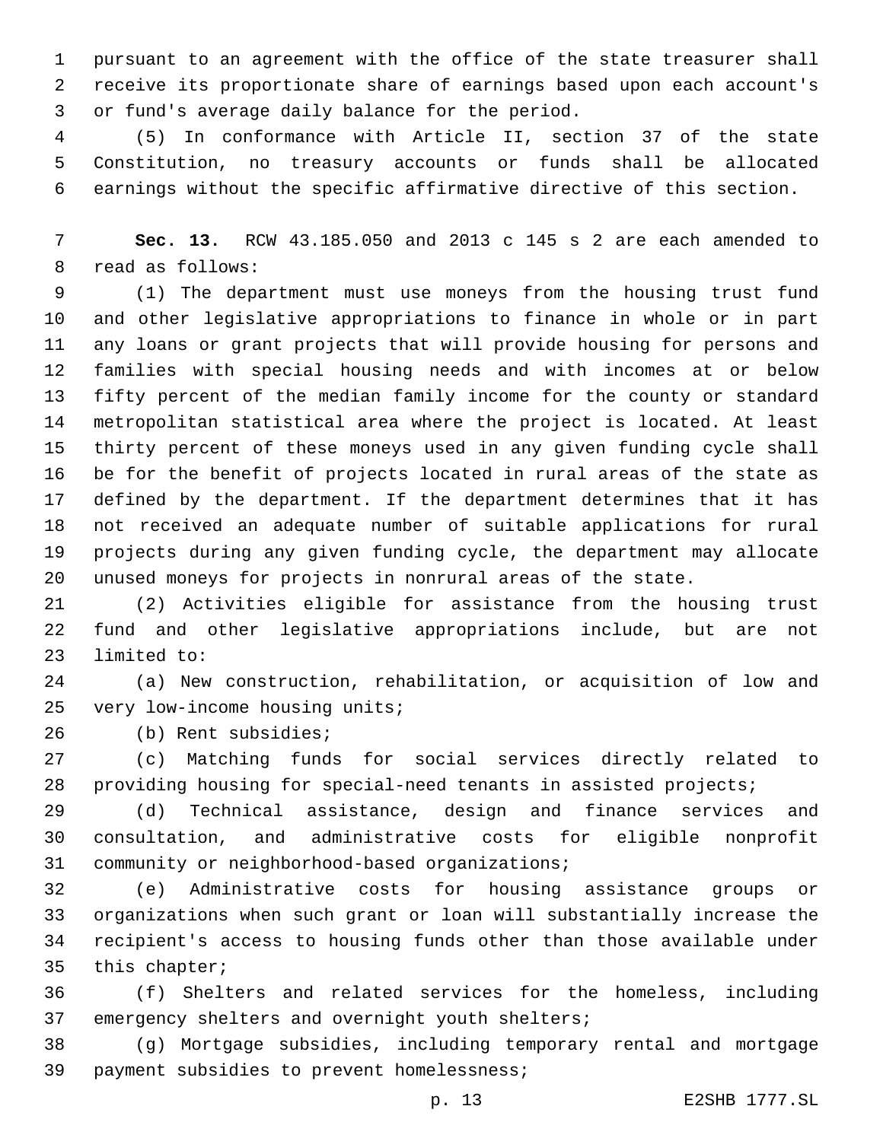pursuant to an agreement with the office of the state treasurer shall receive its proportionate share of earnings based upon each account's 3 or fund's average daily balance for the period.

 (5) In conformance with Article II, section 37 of the state Constitution, no treasury accounts or funds shall be allocated earnings without the specific affirmative directive of this section.

 **Sec. 13.** RCW 43.185.050 and 2013 c 145 s 2 are each amended to 8 read as follows:

 (1) The department must use moneys from the housing trust fund and other legislative appropriations to finance in whole or in part any loans or grant projects that will provide housing for persons and families with special housing needs and with incomes at or below fifty percent of the median family income for the county or standard metropolitan statistical area where the project is located. At least thirty percent of these moneys used in any given funding cycle shall be for the benefit of projects located in rural areas of the state as defined by the department. If the department determines that it has not received an adequate number of suitable applications for rural projects during any given funding cycle, the department may allocate unused moneys for projects in nonrural areas of the state.

 (2) Activities eligible for assistance from the housing trust fund and other legislative appropriations include, but are not 23 limited to:

 (a) New construction, rehabilitation, or acquisition of low and 25 very low-income housing units;

26 (b) Rent subsidies;

 (c) Matching funds for social services directly related to providing housing for special-need tenants in assisted projects;

 (d) Technical assistance, design and finance services and consultation, and administrative costs for eligible nonprofit 31 community or neighborhood-based organizations;

 (e) Administrative costs for housing assistance groups or organizations when such grant or loan will substantially increase the recipient's access to housing funds other than those available under 35 this chapter;

 (f) Shelters and related services for the homeless, including 37 emergency shelters and overnight youth shelters;

 (g) Mortgage subsidies, including temporary rental and mortgage 39 payment subsidies to prevent homelessness;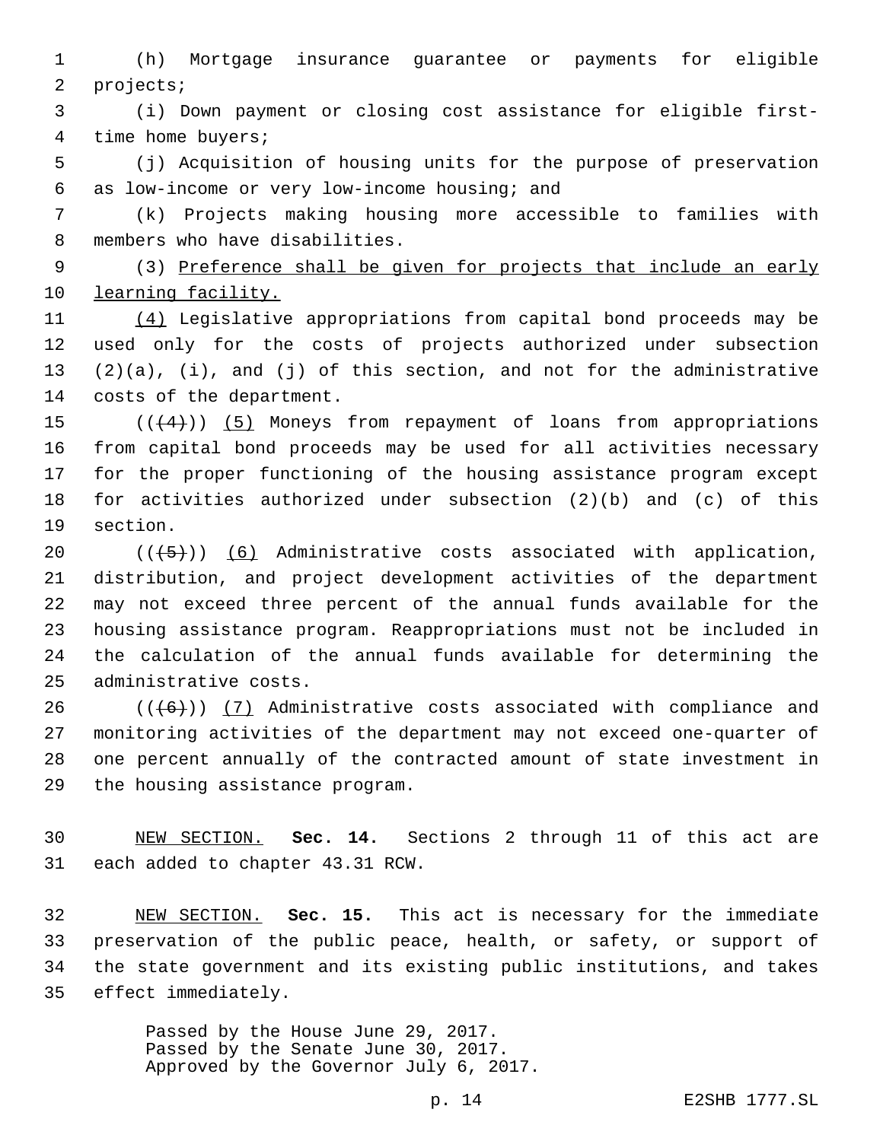(h) Mortgage insurance guarantee or payments for eligible 2 projects;

 (i) Down payment or closing cost assistance for eligible first-4 time home buyers;

 (j) Acquisition of housing units for the purpose of preservation as low-income or very low-income housing; and6

 (k) Projects making housing more accessible to families with 8 members who have disabilities.

 (3) Preference shall be given for projects that include an early 10 learning facility.

 (4) Legislative appropriations from capital bond proceeds may be used only for the costs of projects authorized under subsection (2)(a), (i), and (j) of this section, and not for the administrative 14 costs of the department.

 $((4+))$  (5) Moneys from repayment of loans from appropriations from capital bond proceeds may be used for all activities necessary for the proper functioning of the housing assistance program except for activities authorized under subsection (2)(b) and (c) of this 19 section.

 $((+5))$   $(6)$  Administrative costs associated with application, distribution, and project development activities of the department may not exceed three percent of the annual funds available for the housing assistance program. Reappropriations must not be included in the calculation of the annual funds available for determining the 25 administrative costs.

 (( $(46)$ )) (7) Administrative costs associated with compliance and monitoring activities of the department may not exceed one-quarter of one percent annually of the contracted amount of state investment in 29 the housing assistance program.

 NEW SECTION. **Sec. 14.** Sections 2 through 11 of this act are each added to chapter 43.31 RCW.

 NEW SECTION. **Sec. 15.** This act is necessary for the immediate preservation of the public peace, health, or safety, or support of the state government and its existing public institutions, and takes effect immediately.

> Passed by the House June 29, 2017. Passed by the Senate June 30, 2017. Approved by the Governor July 6, 2017.